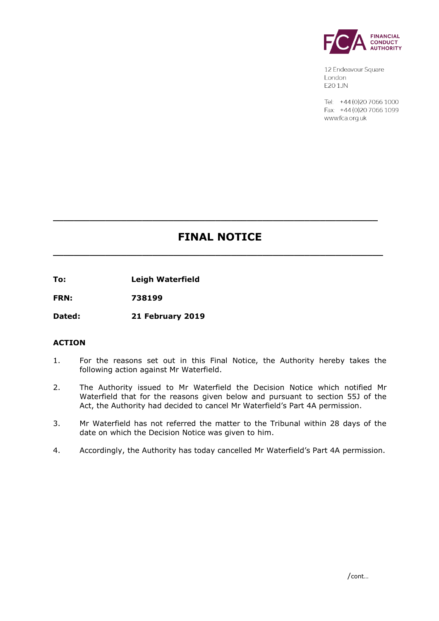

12 Endeavour Square London E201JN

Tel: +44 (0) 20 7066 1000 Fax: +44 (0) 20 7066 1099 www.fca.org.uk

# **FINAL NOTICE**

**\_\_\_\_\_\_\_\_\_\_\_\_\_\_\_\_\_\_\_\_\_\_\_\_\_\_\_\_\_\_\_\_\_\_\_\_\_\_\_\_\_\_\_\_\_\_\_\_\_\_\_\_\_\_\_\_\_\_\_\_\_\_\_**

**\_\_\_\_\_\_\_\_\_\_\_\_\_\_\_\_\_\_\_\_\_\_\_\_\_\_\_\_\_\_\_\_\_\_\_\_\_\_\_\_\_\_\_\_\_\_\_\_\_\_\_\_\_\_\_\_\_\_\_\_\_\_**

**To: Leigh Waterfield**

**FRN: 738199**

**Dated: 21 February 2019**

# **ACTION**

- 1. For the reasons set out in this Final Notice, the Authority hereby takes the following action against Mr Waterfield.
- 2. The Authority issued to Mr Waterfield the Decision Notice which notified Mr Waterfield that for the reasons given below and pursuant to section 55J of the Act, the Authority had decided to cancel Mr Waterfield's Part 4A permission.
- 3. Mr Waterfield has not referred the matter to the Tribunal within 28 days of the date on which the Decision Notice was given to him.
- 4. Accordingly, the Authority has today cancelled Mr Waterfield's Part 4A permission.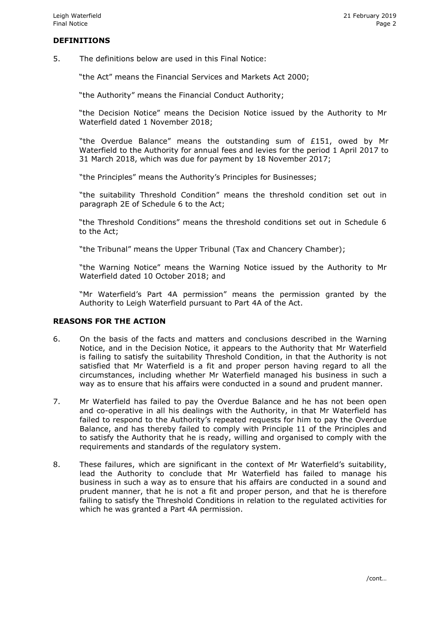## **DEFINITIONS**

5. The definitions below are used in this Final Notice:

"the Act" means the Financial Services and Markets Act 2000;

"the Authority" means the Financial Conduct Authority;

"the Decision Notice" means the Decision Notice issued by the Authority to Mr Waterfield dated 1 November 2018;

"the Overdue Balance" means the outstanding sum of £151, owed by Mr Waterfield to the Authority for annual fees and levies for the period 1 April 2017 to 31 March 2018, which was due for payment by 18 November 2017;

"the Principles" means the Authority's Principles for Businesses;

"the suitability Threshold Condition" means the threshold condition set out in paragraph 2E of Schedule 6 to the Act;

"the Threshold Conditions" means the threshold conditions set out in Schedule 6 to the Act;

"the Tribunal" means the Upper Tribunal (Tax and Chancery Chamber);

"the Warning Notice" means the Warning Notice issued by the Authority to Mr Waterfield dated 10 October 2018; and

"Mr Waterfield's Part 4A permission" means the permission granted by the Authority to Leigh Waterfield pursuant to Part 4A of the Act.

## **REASONS FOR THE ACTION**

- 6. On the basis of the facts and matters and conclusions described in the Warning Notice, and in the Decision Notice, it appears to the Authority that Mr Waterfield is failing to satisfy the suitability Threshold Condition, in that the Authority is not satisfied that Mr Waterfield is a fit and proper person having regard to all the circumstances, including whether Mr Waterfield managed his business in such a way as to ensure that his affairs were conducted in a sound and prudent manner.
- 7. Mr Waterfield has failed to pay the Overdue Balance and he has not been open and co-operative in all his dealings with the Authority, in that Mr Waterfield has failed to respond to the Authority's repeated requests for him to pay the Overdue Balance, and has thereby failed to comply with Principle 11 of the Principles and to satisfy the Authority that he is ready, willing and organised to comply with the requirements and standards of the regulatory system.
- 8. These failures, which are significant in the context of Mr Waterfield's suitability, lead the Authority to conclude that Mr Waterfield has failed to manage his business in such a way as to ensure that his affairs are conducted in a sound and prudent manner, that he is not a fit and proper person, and that he is therefore failing to satisfy the Threshold Conditions in relation to the regulated activities for which he was granted a Part 4A permission.